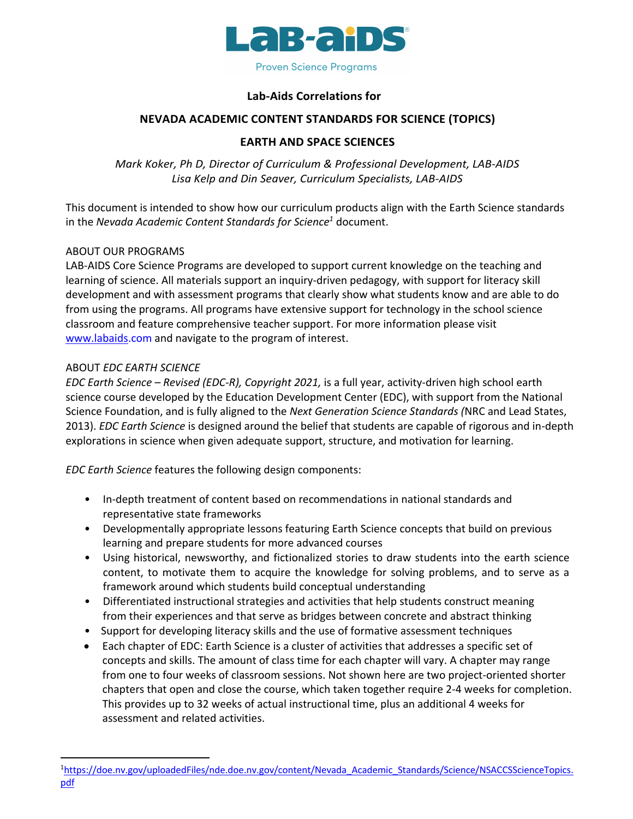

### **Lab-Aids Correlations for**

## **NEVADA ACADEMIC CONTENT STANDARDS FOR SCIENCE (TOPICS)**

# **EARTH AND SPACE SCIENCES**

*Mark Koker, Ph D, Director of Curriculum & Professional Development, LAB-AIDS Lisa Kelp and Din Seaver, Curriculum Specialists, LAB-AIDS*

This document is intended to show how our curriculum products align with the Earth Science standards in the *Nevada Academic Content Standards for Science1* document.

### ABOUT OUR PROGRAMS

LAB-AIDS Core Science Programs are developed to support current knowledge on the teaching and learning of science. All materials support an inquiry-driven pedagogy, with support for literacy skill development and with assessment programs that clearly show what students know and are able to do from using the programs. All programs have extensive support for technology in the school science classroom and feature comprehensive teacher support. For more information please visit www.labaids.com and navigate to the program of interest.

### ABOUT *EDC EARTH SCIENCE*

*EDC Earth Science – Revised (EDC-R), Copyright 2021,* is a full year, activity-driven high school earth science course developed by the Education Development Center (EDC), with support from the National Science Foundation, and is fully aligned to the *Next Generation Science Standards (*NRC and Lead States, 2013). *EDC Earth Science* is designed around the belief that students are capable of rigorous and in-depth explorations in science when given adequate support, structure, and motivation for learning.

*EDC Earth Science* features the following design components:

- In-depth treatment of content based on recommendations in national standards and representative state frameworks
- Developmentally appropriate lessons featuring Earth Science concepts that build on previous learning and prepare students for more advanced courses
- Using historical, newsworthy, and fictionalized stories to draw students into the earth science content, to motivate them to acquire the knowledge for solving problems, and to serve as a framework around which students build conceptual understanding
- Differentiated instructional strategies and activities that help students construct meaning from their experiences and that serve as bridges between concrete and abstract thinking
- Support for developing literacy skills and the use of formative assessment techniques
- Each chapter of EDC: Earth Science is a cluster of activities that addresses a specific set of concepts and skills. The amount of class time for each chapter will vary. A chapter may range from one to four weeks of classroom sessions. Not shown here are two project-oriented shorter chapters that open and close the course, which taken together require 2-4 weeks for completion. This provides up to 32 weeks of actual instructional time, plus an additional 4 weeks for assessment and related activities.

<sup>&</sup>lt;sup>1</sup>https://doe.nv.gov/uploadedFiles/nde.doe.nv.gov/content/Nevada\_Academic\_Standards/Science/NSACCSScienceTopics. pdf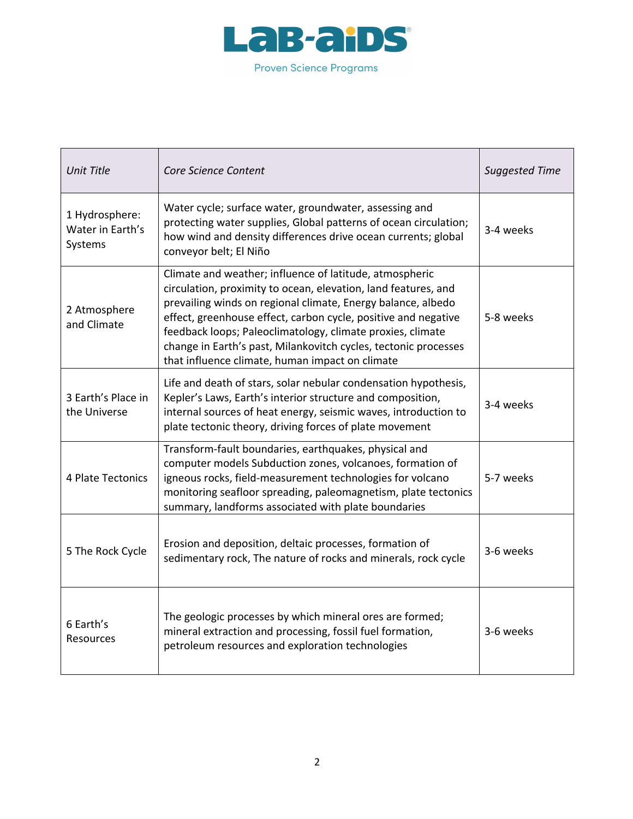

| <b>Unit Title</b>                             | Core Science Content                                                                                                                                                                                                                                                                                                                                                                                                                            | <b>Suggested Time</b> |
|-----------------------------------------------|-------------------------------------------------------------------------------------------------------------------------------------------------------------------------------------------------------------------------------------------------------------------------------------------------------------------------------------------------------------------------------------------------------------------------------------------------|-----------------------|
| 1 Hydrosphere:<br>Water in Earth's<br>Systems | Water cycle; surface water, groundwater, assessing and<br>protecting water supplies, Global patterns of ocean circulation;<br>how wind and density differences drive ocean currents; global<br>conveyor belt; El Niño                                                                                                                                                                                                                           | 3-4 weeks             |
| 2 Atmosphere<br>and Climate                   | Climate and weather; influence of latitude, atmospheric<br>circulation, proximity to ocean, elevation, land features, and<br>prevailing winds on regional climate, Energy balance, albedo<br>effect, greenhouse effect, carbon cycle, positive and negative<br>feedback loops; Paleoclimatology, climate proxies, climate<br>change in Earth's past, Milankovitch cycles, tectonic processes<br>that influence climate, human impact on climate | 5-8 weeks             |
| 3 Earth's Place in<br>the Universe            | Life and death of stars, solar nebular condensation hypothesis,<br>Kepler's Laws, Earth's interior structure and composition,<br>internal sources of heat energy, seismic waves, introduction to<br>plate tectonic theory, driving forces of plate movement                                                                                                                                                                                     | 3-4 weeks             |
| 4 Plate Tectonics                             | Transform-fault boundaries, earthquakes, physical and<br>computer models Subduction zones, volcanoes, formation of<br>igneous rocks, field-measurement technologies for volcano<br>monitoring seafloor spreading, paleomagnetism, plate tectonics<br>summary, landforms associated with plate boundaries                                                                                                                                        | 5-7 weeks             |
| 5 The Rock Cycle                              | Erosion and deposition, deltaic processes, formation of<br>sedimentary rock, The nature of rocks and minerals, rock cycle                                                                                                                                                                                                                                                                                                                       | 3-6 weeks             |
| 6 Earth's<br>Resources                        | The geologic processes by which mineral ores are formed;<br>mineral extraction and processing, fossil fuel formation,<br>petroleum resources and exploration technologies                                                                                                                                                                                                                                                                       | 3-6 weeks             |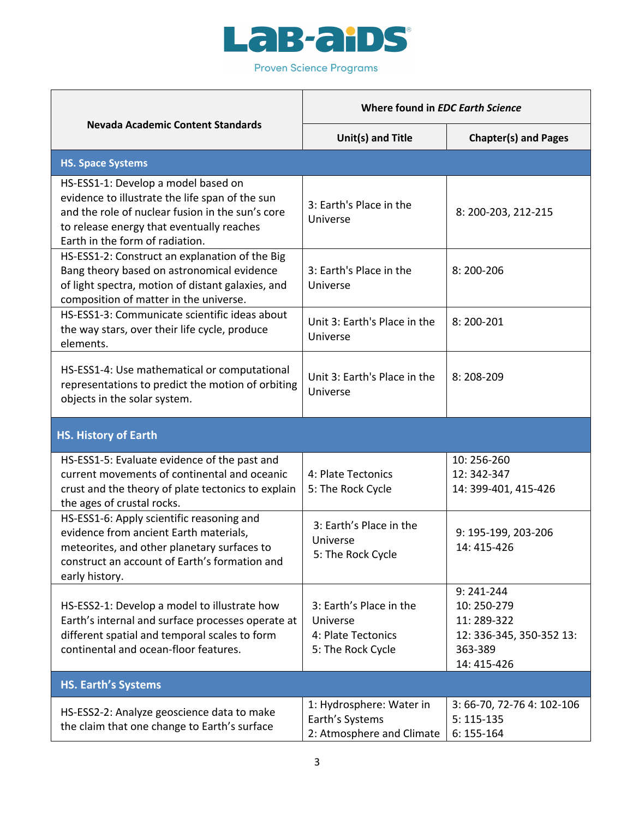

**Proven Science Programs** 

 $\mathbf{r}$ 

 $\mathbf{r}$ 

|                                                                                                                                                                                                                            | Where found in EDC Earth Science                                               |                                                                                                |  |  |  |
|----------------------------------------------------------------------------------------------------------------------------------------------------------------------------------------------------------------------------|--------------------------------------------------------------------------------|------------------------------------------------------------------------------------------------|--|--|--|
| <b>Nevada Academic Content Standards</b>                                                                                                                                                                                   | Unit(s) and Title                                                              | <b>Chapter(s) and Pages</b>                                                                    |  |  |  |
| <b>HS. Space Systems</b>                                                                                                                                                                                                   |                                                                                |                                                                                                |  |  |  |
| HS-ESS1-1: Develop a model based on<br>evidence to illustrate the life span of the sun<br>and the role of nuclear fusion in the sun's core<br>to release energy that eventually reaches<br>Earth in the form of radiation. | 3: Earth's Place in the<br>Universe                                            | 8: 200-203, 212-215                                                                            |  |  |  |
| HS-ESS1-2: Construct an explanation of the Big<br>Bang theory based on astronomical evidence<br>of light spectra, motion of distant galaxies, and<br>composition of matter in the universe.                                | 3: Earth's Place in the<br>Universe                                            | 8:200-206                                                                                      |  |  |  |
| HS-ESS1-3: Communicate scientific ideas about<br>the way stars, over their life cycle, produce<br>elements.                                                                                                                | Unit 3: Earth's Place in the<br>Universe                                       | 8:200-201                                                                                      |  |  |  |
| HS-ESS1-4: Use mathematical or computational<br>representations to predict the motion of orbiting<br>objects in the solar system.                                                                                          | Unit 3: Earth's Place in the<br>Universe                                       | 8:208-209                                                                                      |  |  |  |
| <b>HS. History of Earth</b>                                                                                                                                                                                                |                                                                                |                                                                                                |  |  |  |
| HS-ESS1-5: Evaluate evidence of the past and<br>current movements of continental and oceanic<br>crust and the theory of plate tectonics to explain<br>the ages of crustal rocks.                                           | 4: Plate Tectonics<br>5: The Rock Cycle                                        | 10:256-260<br>12:342-347<br>14: 399-401, 415-426                                               |  |  |  |
| HS-ESS1-6: Apply scientific reasoning and<br>evidence from ancient Earth materials,<br>meteorites, and other planetary surfaces to<br>construct an account of Earth's formation and<br>early history.                      | 3: Earth's Place in the<br>Universe<br>5: The Rock Cycle                       | 9: 195-199, 203-206<br>14: 415-426                                                             |  |  |  |
| HS-ESS2-1: Develop a model to illustrate how<br>Earth's internal and surface processes operate at<br>different spatial and temporal scales to form<br>continental and ocean-floor features.                                | 3: Earth's Place in the<br>Universe<br>4: Plate Tectonics<br>5: The Rock Cycle | $9:241-244$<br>10: 250-279<br>11:289-322<br>12: 336-345, 350-352 13:<br>363-389<br>14: 415-426 |  |  |  |
| <b>HS. Earth's Systems</b>                                                                                                                                                                                                 |                                                                                |                                                                                                |  |  |  |
| HS-ESS2-2: Analyze geoscience data to make<br>the claim that one change to Earth's surface                                                                                                                                 | 1: Hydrosphere: Water in<br>Earth's Systems<br>2: Atmosphere and Climate       | 3: 66-70, 72-76 4: 102-106<br>$5:115-135$<br>$6:155-164$                                       |  |  |  |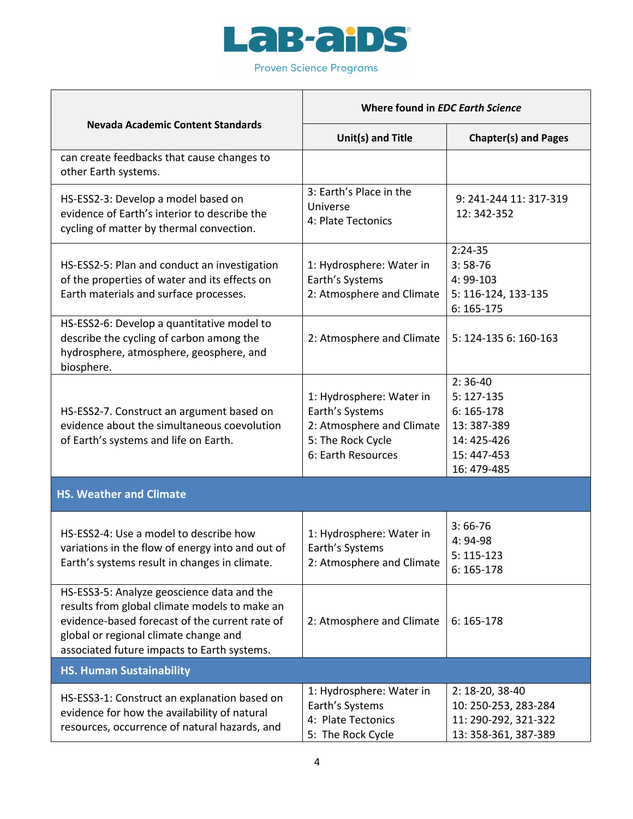

 $\blacksquare$ 

 $\top$ 

 $\Gamma$ 

|                                                                                                                                                                                                                                       | Where found in EDC Earth Science                                                                                    |                                                                                                   |
|---------------------------------------------------------------------------------------------------------------------------------------------------------------------------------------------------------------------------------------|---------------------------------------------------------------------------------------------------------------------|---------------------------------------------------------------------------------------------------|
| <b>Nevada Academic Content Standards</b>                                                                                                                                                                                              | <b>Unit(s) and Title</b>                                                                                            | <b>Chapter(s) and Pages</b>                                                                       |
| can create feedbacks that cause changes to<br>other Earth systems.                                                                                                                                                                    |                                                                                                                     |                                                                                                   |
| HS-ESS2-3: Develop a model based on<br>evidence of Earth's interior to describe the<br>cycling of matter by thermal convection.                                                                                                       | 3: Earth's Place in the<br>Universe<br>4: Plate Tectonics                                                           | 9: 241-244 11: 317-319<br>12: 342-352                                                             |
| HS-ESS2-5: Plan and conduct an investigation<br>of the properties of water and its effects on<br>Earth materials and surface processes.                                                                                               | 1: Hydrosphere: Water in<br>Earth's Systems<br>2: Atmosphere and Climate                                            | $2:24-35$<br>$3:58-76$<br>4:99-103<br>5: 116-124, 133-135<br>$6:165-175$                          |
| HS-ESS2-6: Develop a quantitative model to<br>describe the cycling of carbon among the<br>hydrosphere, atmosphere, geosphere, and<br>biosphere.                                                                                       | 2: Atmosphere and Climate                                                                                           | 5: 124-135 6: 160-163                                                                             |
| HS-ESS2-7. Construct an argument based on<br>evidence about the simultaneous coevolution<br>of Earth's systems and life on Earth.                                                                                                     | 1: Hydrosphere: Water in<br>Earth's Systems<br>2: Atmosphere and Climate<br>5: The Rock Cycle<br>6: Earth Resources | $2:36-40$<br>$5:127-135$<br>$6:165-178$<br>13:387-389<br>14: 425-426<br>15:447-453<br>16: 479-485 |
| <b>HS. Weather and Climate</b>                                                                                                                                                                                                        |                                                                                                                     |                                                                                                   |
| HS-ESS2-4: Use a model to describe how<br>variations in the flow of energy into and out of<br>Earth's systems result in changes in climate.                                                                                           | 1: Hydrosphere: Water in<br>Earth's Systems<br>2: Atmosphere and Climate                                            | $3:66-76$<br>4: 94-98<br>$5:115-123$<br>$6:165-178$                                               |
| HS-ESS3-5: Analyze geoscience data and the<br>results from global climate models to make an<br>evidence-based forecast of the current rate of<br>global or regional climate change and<br>associated future impacts to Earth systems. | 2: Atmosphere and Climate                                                                                           | $6:165-178$                                                                                       |
| <b>HS. Human Sustainability</b>                                                                                                                                                                                                       |                                                                                                                     |                                                                                                   |
| HS-ESS3-1: Construct an explanation based on<br>evidence for how the availability of natural<br>resources, occurrence of natural hazards, and                                                                                         | 1: Hydrosphere: Water in<br>Earth's Systems<br>4: Plate Tectonics<br>5: The Rock Cycle                              | 2: 18-20, 38-40<br>10: 250-253, 283-284<br>11: 290-292, 321-322<br>13: 358-361, 387-389           |